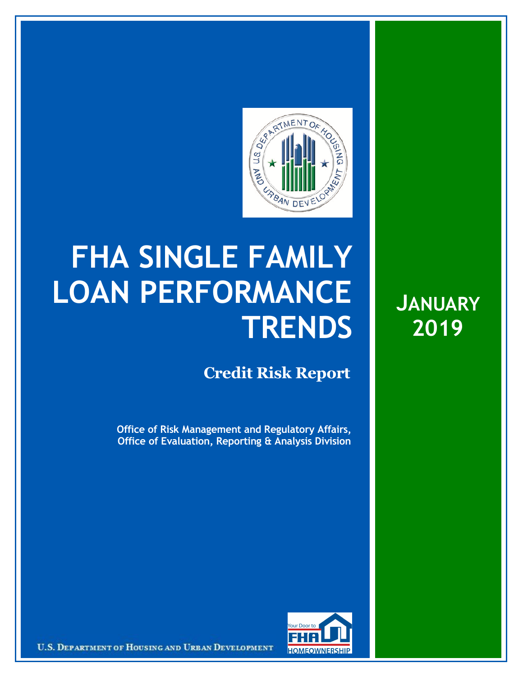

## **FHA SINGLE FAMILY LOAN PERFORMANCE TRENDS**

## **Credit Risk Report**

**Office of Risk Management and Regulatory Affairs, Office of Evaluation, Reporting & Analysis Division** **JANUARY 2019**



U.S. DEPARTMENT OF HOUSING AND URBAN DEVELOPMENT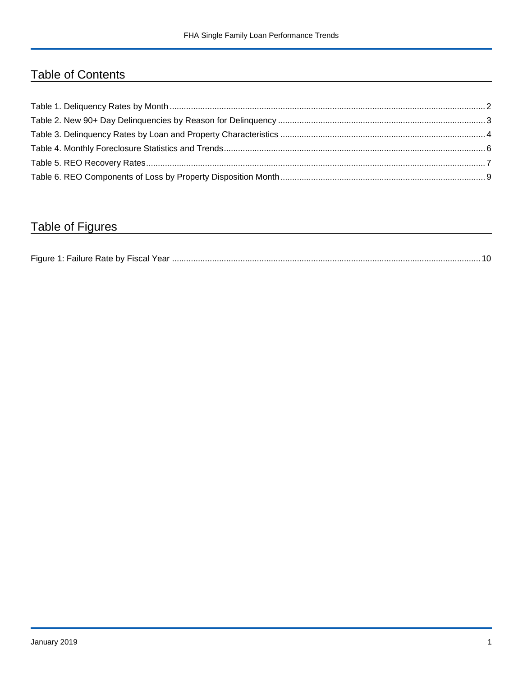## Table of Contents

## Table of Figures

| Figure 1 |  |
|----------|--|
|----------|--|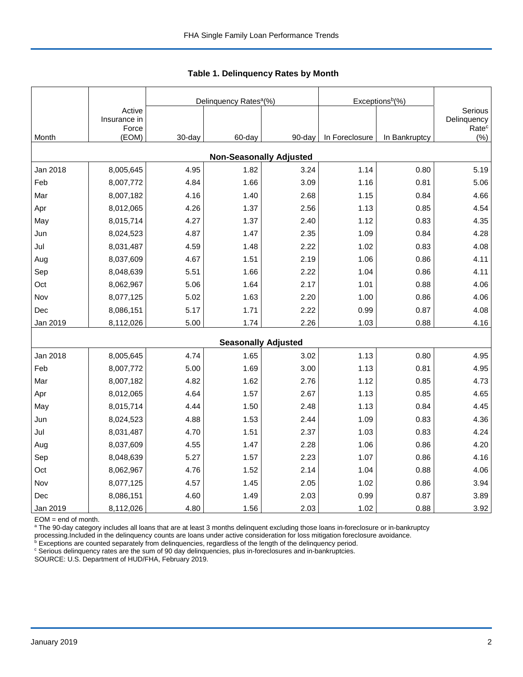|          |                                 |        | Delinquency Rates <sup>a</sup> (%) |        | Exceptions <sup>b</sup> (%) |               |                                             |
|----------|---------------------------------|--------|------------------------------------|--------|-----------------------------|---------------|---------------------------------------------|
|          | Active<br>Insurance in<br>Force |        |                                    |        |                             |               | Serious<br>Delinquency<br>Rate <sup>c</sup> |
| Month    | (EOM)                           | 30-day | 60-day                             | 90-day | In Foreclosure              | In Bankruptcy | $(\% )$                                     |
|          |                                 |        | <b>Non-Seasonally Adjusted</b>     |        |                             |               |                                             |
| Jan 2018 | 8,005,645                       | 4.95   | 1.82                               | 3.24   | 1.14                        | 0.80          | 5.19                                        |
| Feb      | 8,007,772                       | 4.84   | 1.66                               | 3.09   | 1.16                        | 0.81          | 5.06                                        |
| Mar      | 8,007,182                       | 4.16   | 1.40                               | 2.68   | 1.15                        | 0.84          | 4.66                                        |
| Apr      | 8,012,065                       | 4.26   | 1.37                               | 2.56   | 1.13                        | 0.85          | 4.54                                        |
| May      | 8,015,714                       | 4.27   | 1.37                               | 2.40   | 1.12                        | 0.83          | 4.35                                        |
| Jun      | 8,024,523                       | 4.87   | 1.47                               | 2.35   | 1.09                        | 0.84          | 4.28                                        |
| Jul      | 8,031,487                       | 4.59   | 1.48                               | 2.22   | 1.02                        | 0.83          | 4.08                                        |
| Aug      | 8,037,609                       | 4.67   | 1.51                               | 2.19   | 1.06                        | 0.86          | 4.11                                        |
| Sep      | 8,048,639                       | 5.51   | 1.66                               | 2.22   | 1.04                        | 0.86          | 4.11                                        |
| Oct      | 8,062,967                       | 5.06   | 1.64                               | 2.17   | 1.01                        | 0.88          | 4.06                                        |
| Nov      | 8,077,125                       | 5.02   | 1.63                               | 2.20   | 1.00                        | 0.86          | 4.06                                        |
| Dec      | 8,086,151                       | 5.17   | 1.71                               | 2.22   | 0.99                        | 0.87          | 4.08                                        |
| Jan 2019 | 8,112,026                       | 5.00   | 1.74                               | 2.26   | 1.03                        | 0.88          | 4.16                                        |
|          |                                 |        | <b>Seasonally Adjusted</b>         |        |                             |               |                                             |
| Jan 2018 | 8,005,645                       | 4.74   | 1.65                               | 3.02   | 1.13                        | 0.80          | 4.95                                        |
| Feb      | 8,007,772                       | 5.00   | 1.69                               | 3.00   | 1.13                        | 0.81          | 4.95                                        |
| Mar      | 8,007,182                       | 4.82   | 1.62                               | 2.76   | 1.12                        | 0.85          | 4.73                                        |
| Apr      | 8,012,065                       | 4.64   | 1.57                               | 2.67   | 1.13                        | 0.85          | 4.65                                        |
| May      | 8,015,714                       | 4.44   | 1.50                               | 2.48   | 1.13                        | 0.84          | 4.45                                        |
| Jun      | 8,024,523                       | 4.88   | 1.53                               | 2.44   | 1.09                        | 0.83          | 4.36                                        |
| Jul      | 8,031,487                       | 4.70   | 1.51                               | 2.37   | 1.03                        | 0.83          | 4.24                                        |
| Aug      | 8,037,609                       | 4.55   | 1.47                               | 2.28   | 1.06                        | 0.86          | 4.20                                        |
| Sep      | 8,048,639                       | 5.27   | 1.57                               | 2.23   | 1.07                        | 0.86          | 4.16                                        |
| Oct      | 8,062,967                       | 4.76   | 1.52                               | 2.14   | 1.04                        | 0.88          | 4.06                                        |
| Nov      | 8,077,125                       | 4.57   | 1.45                               | 2.05   | 1.02                        | 0.86          | 3.94                                        |
| Dec      | 8,086,151                       | 4.60   | 1.49                               | 2.03   | 0.99                        | 0.87          | 3.89                                        |
| Jan 2019 | 8,112,026                       | 4.80   | 1.56                               | 2.03   | 1.02                        | 0.88          | 3.92                                        |

 **Table 1. Delinquency Rates by Month**

EOM = end of month.

<sup>a</sup> The 90-day category includes all loans that are at least 3 months delinquent excluding those loans in-foreclosure or in-bankruptcy

processing.Included in the delinquency counts are loans under active consideration for loss mitigation foreclosure avoidance.<br><sup>b</sup> Exceptions are counted separately from delinquencies, regardless of the length of the delinq

<sup>c</sup> Serious delinquency rates are the sum of 90 day delinquencies, plus in-foreclosures and in-bankruptcies.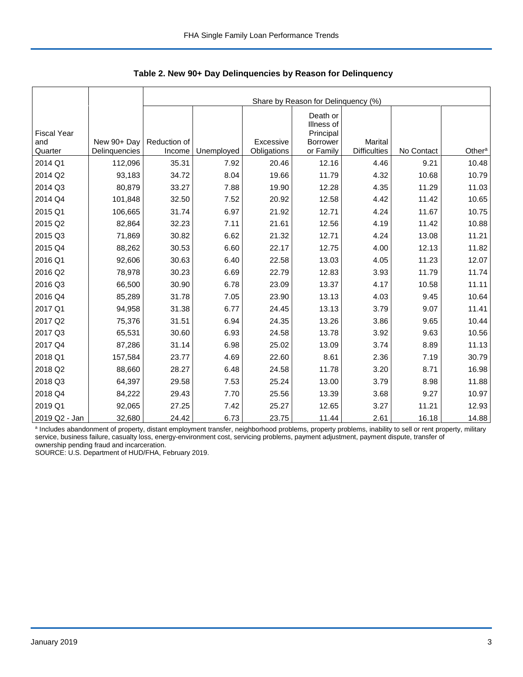|                                      |                              |                        | Share by Reason for Delinquency (%) |                          |                                                              |                                       |            |                    |  |  |  |  |
|--------------------------------------|------------------------------|------------------------|-------------------------------------|--------------------------|--------------------------------------------------------------|---------------------------------------|------------|--------------------|--|--|--|--|
| <b>Fiscal Year</b><br>and<br>Quarter | New 90+ Day<br>Delinquencies | Reduction of<br>Income | Unemployed                          | Excessive<br>Obligations | Death or<br>Illness of<br>Principal<br>Borrower<br>or Family | <b>Marital</b><br><b>Difficulties</b> | No Contact | Other <sup>a</sup> |  |  |  |  |
| 2014 Q1                              | 112,096                      | 35.31                  | 7.92                                | 20.46                    | 12.16                                                        | 4.46                                  | 9.21       | 10.48              |  |  |  |  |
| 2014 Q2                              | 93,183                       | 34.72                  | 8.04                                | 19.66                    | 11.79                                                        | 4.32                                  | 10.68      | 10.79              |  |  |  |  |
| 2014 Q3                              | 80,879                       | 33.27                  | 7.88                                | 19.90                    | 12.28                                                        | 4.35                                  | 11.29      | 11.03              |  |  |  |  |
| 2014 Q4                              | 101,848                      | 32.50                  | 7.52                                | 20.92                    | 12.58                                                        | 4.42                                  | 11.42      | 10.65              |  |  |  |  |
|                                      |                              |                        |                                     |                          |                                                              |                                       |            |                    |  |  |  |  |
| 2015 Q1                              | 106,665                      | 31.74                  | 6.97                                | 21.92                    | 12.71                                                        | 4.24                                  | 11.67      | 10.75              |  |  |  |  |
| 2015 Q2                              | 82,864                       | 32.23                  | 7.11                                | 21.61                    | 12.56                                                        | 4.19                                  | 11.42      | 10.88              |  |  |  |  |
| 2015 Q3                              | 71,869                       | 30.82                  | 6.62                                | 21.32                    | 12.71                                                        | 4.24                                  | 13.08      | 11.21              |  |  |  |  |
| 2015 Q4                              | 88,262                       | 30.53                  | 6.60                                | 22.17                    | 12.75                                                        | 4.00                                  | 12.13      | 11.82              |  |  |  |  |
| 2016 Q1                              | 92,606                       | 30.63                  | 6.40                                | 22.58                    | 13.03                                                        | 4.05                                  | 11.23      | 12.07              |  |  |  |  |
| 2016 Q2                              | 78,978                       | 30.23                  | 6.69                                | 22.79                    | 12.83                                                        | 3.93                                  | 11.79      | 11.74              |  |  |  |  |
| 2016 Q3                              | 66,500                       | 30.90                  | 6.78                                | 23.09                    | 13.37                                                        | 4.17                                  | 10.58      | 11.11              |  |  |  |  |
| 2016 Q4                              | 85,289                       | 31.78                  | 7.05                                | 23.90                    | 13.13                                                        | 4.03                                  | 9.45       | 10.64              |  |  |  |  |
| 2017 Q1                              | 94,958                       | 31.38                  | 6.77                                | 24.45                    | 13.13                                                        | 3.79                                  | 9.07       | 11.41              |  |  |  |  |
| 2017 Q2                              | 75,376                       | 31.51                  | 6.94                                | 24.35                    | 13.26                                                        | 3.86                                  | 9.65       | 10.44              |  |  |  |  |
| 2017 Q3                              | 65,531                       | 30.60                  | 6.93                                | 24.58                    | 13.78                                                        | 3.92                                  | 9.63       | 10.56              |  |  |  |  |
| 2017 Q4                              | 87,286                       | 31.14                  | 6.98                                | 25.02                    | 13.09                                                        | 3.74                                  | 8.89       | 11.13              |  |  |  |  |
| 2018 Q1                              | 157,584                      | 23.77                  | 4.69                                | 22.60                    | 8.61                                                         | 2.36                                  | 7.19       | 30.79              |  |  |  |  |
| 2018 Q2                              | 88,660                       | 28.27                  | 6.48                                | 24.58                    | 11.78                                                        | 3.20                                  | 8.71       | 16.98              |  |  |  |  |
| 2018 Q3                              | 64,397                       | 29.58                  | 7.53                                | 25.24                    | 13.00                                                        | 3.79                                  | 8.98       | 11.88              |  |  |  |  |
| 2018 Q4                              | 84,222                       | 29.43                  | 7.70                                | 25.56                    | 13.39                                                        | 3.68                                  | 9.27       | 10.97              |  |  |  |  |
| 2019 Q1                              | 92,065                       | 27.25                  | 7.42                                | 25.27                    | 12.65                                                        | 3.27                                  | 11.21      | 12.93              |  |  |  |  |
| 2019 Q2 - Jan                        | 32,680                       | 24.42                  | 6.73                                | 23.75                    | 11.44                                                        | 2.61                                  | 16.18      | 14.88              |  |  |  |  |

 **Table 2. New 90+ Day Delinquencies by Reason for Delinquency**

a Includes abandonment of property, distant employment transfer, neighborhood problems, property problems, inability to sell or rent property, military service, business failure, casualty loss, energy-environment cost, servicing problems, payment adjustment, payment dispute, transfer of ownership pending fraud and incarceration.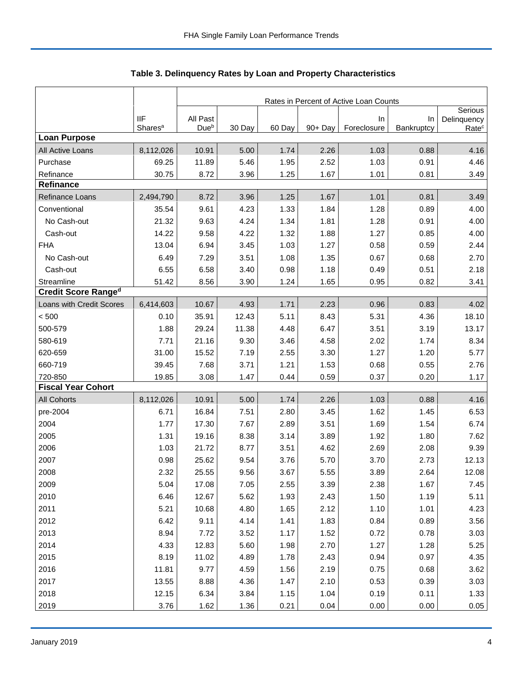|                            |                                   | Rates in Percent of Active Loan Counts |        |        |         |                   |                  |                                  |  |
|----------------------------|-----------------------------------|----------------------------------------|--------|--------|---------|-------------------|------------------|----------------------------------|--|
|                            |                                   |                                        |        |        |         |                   |                  | Serious                          |  |
|                            | <b>IIF</b><br>Shares <sup>a</sup> | All Past<br>Due <sup>b</sup>           | 30 Day | 60 Day | 90+ Day | In<br>Foreclosure | In<br>Bankruptcy | Delinquency<br>Rate <sup>c</sup> |  |
| <b>Loan Purpose</b>        |                                   |                                        |        |        |         |                   |                  |                                  |  |
| All Active Loans           | 8,112,026                         | 10.91                                  | 5.00   | 1.74   | 2.26    | 1.03              | 0.88             | 4.16                             |  |
| Purchase                   | 69.25                             | 11.89                                  | 5.46   | 1.95   | 2.52    | 1.03              | 0.91             | 4.46                             |  |
| Refinance                  | 30.75                             | 8.72                                   | 3.96   | 1.25   | 1.67    | 1.01              | 0.81             | 3.49                             |  |
| <b>Refinance</b>           |                                   |                                        |        |        |         |                   |                  |                                  |  |
| Refinance Loans            | 2,494,790                         | 8.72                                   | 3.96   | 1.25   | 1.67    | 1.01              | 0.81             | 3.49                             |  |
| Conventional               | 35.54                             | 9.61                                   | 4.23   | 1.33   | 1.84    | 1.28              | 0.89             | 4.00                             |  |
| No Cash-out                | 21.32                             | 9.63                                   | 4.24   | 1.34   | 1.81    | 1.28              | 0.91             | 4.00                             |  |
| Cash-out                   | 14.22                             | 9.58                                   | 4.22   | 1.32   | 1.88    | 1.27              | 0.85             | 4.00                             |  |
| <b>FHA</b>                 | 13.04                             | 6.94                                   | 3.45   | 1.03   | 1.27    | 0.58              | 0.59             | 2.44                             |  |
| No Cash-out                | 6.49                              | 7.29                                   | 3.51   | 1.08   | 1.35    | 0.67              | 0.68             | 2.70                             |  |
| Cash-out                   | 6.55                              | 6.58                                   | 3.40   | 0.98   | 1.18    | 0.49              | 0.51             | 2.18                             |  |
| Streamline                 | 51.42                             | 8.56                                   | 3.90   | 1.24   | 1.65    | 0.95              | 0.82             | 3.41                             |  |
| <b>Credit Score Ranged</b> |                                   |                                        |        |        |         |                   |                  |                                  |  |
| Loans with Credit Scores   | 6,414,603                         | 10.67                                  | 4.93   | 1.71   | 2.23    | 0.96              | 0.83             | 4.02                             |  |
| < 500                      | 0.10                              | 35.91                                  | 12.43  | 5.11   | 8.43    | 5.31              | 4.36             | 18.10                            |  |
| 500-579                    | 1.88                              | 29.24                                  | 11.38  | 4.48   | 6.47    | 3.51              | 3.19             | 13.17                            |  |
| 580-619                    | 7.71                              | 21.16                                  | 9.30   | 3.46   | 4.58    | 2.02              | 1.74             | 8.34                             |  |
| 620-659                    | 31.00                             | 15.52                                  | 7.19   | 2.55   | 3.30    | 1.27              | 1.20             | 5.77                             |  |
| 660-719                    | 39.45                             | 7.68                                   | 3.71   | 1.21   | 1.53    | 0.68              | 0.55             | 2.76                             |  |
| 720-850                    | 19.85                             | 3.08                                   | 1.47   | 0.44   | 0.59    | 0.37              | 0.20             | 1.17                             |  |
| <b>Fiscal Year Cohort</b>  |                                   |                                        |        |        |         |                   |                  |                                  |  |
| <b>All Cohorts</b>         | 8,112,026                         | 10.91                                  | 5.00   | 1.74   | 2.26    | 1.03              | 0.88             | 4.16                             |  |
| pre-2004                   | 6.71                              | 16.84                                  | 7.51   | 2.80   | 3.45    | 1.62              | 1.45             | 6.53                             |  |
| 2004                       | 1.77                              | 17.30                                  | 7.67   | 2.89   | 3.51    | 1.69              | 1.54             | 6.74                             |  |
| 2005                       | 1.31                              | 19.16                                  | 8.38   | 3.14   | 3.89    | 1.92              | 1.80             | 7.62                             |  |
| 2006                       | 1.03                              | 21.72                                  | 8.77   | 3.51   | 4.62    | 2.69              | 2.08             | 9.39                             |  |
| 2007                       | 0.98                              | 25.62                                  | 9.54   | 3.76   | 5.70    | 3.70              | 2.73             | 12.13                            |  |
| 2008                       | 2.32                              | 25.55                                  | 9.56   | 3.67   | 5.55    | 3.89              | 2.64             | 12.08                            |  |
| 2009                       | 5.04                              | 17.08                                  | 7.05   | 2.55   | 3.39    | 2.38              | 1.67             | 7.45                             |  |
| 2010                       | 6.46                              | 12.67                                  | 5.62   | 1.93   | 2.43    | 1.50              | 1.19             | 5.11                             |  |
| 2011                       | 5.21                              | 10.68                                  | 4.80   | 1.65   | 2.12    | 1.10              | 1.01             | 4.23                             |  |
| 2012                       | 6.42                              | 9.11                                   | 4.14   | 1.41   | 1.83    | 0.84              | 0.89             | 3.56                             |  |
| 2013                       | 8.94                              | 7.72                                   | 3.52   | 1.17   | 1.52    | 0.72              | 0.78             | 3.03                             |  |
| 2014                       | 4.33                              | 12.83                                  | 5.60   | 1.98   | 2.70    | 1.27              | 1.28             | 5.25                             |  |
| 2015                       | 8.19                              | 11.02                                  | 4.89   | 1.78   | 2.43    | 0.94              | 0.97             | 4.35                             |  |
| 2016                       | 11.81                             | 9.77                                   | 4.59   | 1.56   | 2.19    | 0.75              | 0.68             | 3.62                             |  |
| 2017                       | 13.55                             | 8.88                                   | 4.36   | 1.47   | 2.10    | 0.53              | 0.39             | 3.03                             |  |
| 2018                       | 12.15                             | 6.34                                   | 3.84   | 1.15   | 1.04    | 0.19              | 0.11             | 1.33                             |  |
| 2019                       | 3.76                              | 1.62                                   | 1.36   | 0.21   | 0.04    | 0.00              | 0.00             | 0.05                             |  |

Table 3. Delinquency Rates by Loan and Property Characteristics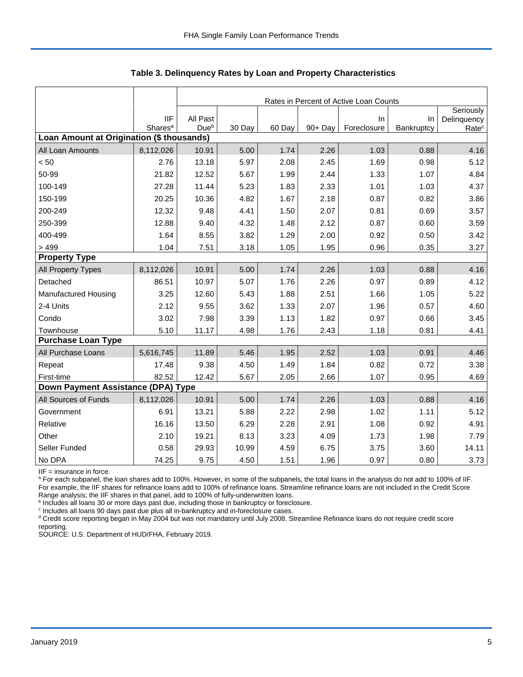|                                           |                                   |                  | Rates in Percent of Active Loan Counts |        |         |                   |                  |                                               |  |  |  |  |
|-------------------------------------------|-----------------------------------|------------------|----------------------------------------|--------|---------|-------------------|------------------|-----------------------------------------------|--|--|--|--|
|                                           | <b>IIF</b><br>Shares <sup>a</sup> | All Past<br>Dueb | 30 Day                                 | 60 Day | 90+ Day | In<br>Foreclosure | In<br>Bankruptcy | Seriously<br>Delinquency<br>Rate <sup>c</sup> |  |  |  |  |
| Loan Amount at Origination (\$ thousands) |                                   |                  |                                        |        |         |                   |                  |                                               |  |  |  |  |
| All Loan Amounts                          | 8,112,026                         | 10.91            | 5.00                                   | 1.74   | 2.26    | 1.03              | 0.88             | 4.16                                          |  |  |  |  |
| < 50                                      | 2.76                              | 13.18            | 5.97                                   | 2.08   | 2.45    | 1.69              | 0.98             | 5.12                                          |  |  |  |  |
| 50-99                                     | 21.82                             | 12.52            | 5.67                                   | 1.99   | 2.44    | 1.33              | 1.07             | 4.84                                          |  |  |  |  |
| 100-149                                   | 27.28                             | 11.44            | 5.23                                   | 1.83   | 2.33    | 1.01              | 1.03             | 4.37                                          |  |  |  |  |
| 150-199                                   | 20.25                             | 10.36            | 4.82                                   | 1.67   | 2.18    | 0.87              | 0.82             | 3.86                                          |  |  |  |  |
| 200-249                                   | 12.32                             | 9.48             | 4.41                                   | 1.50   | 2.07    | 0.81              | 0.69             | 3.57                                          |  |  |  |  |
| 250-399                                   | 12.88                             | 9.40             | 4.32                                   | 1.48   | 2.12    | 0.87              | 0.60             | 3.59                                          |  |  |  |  |
| 400-499                                   | 1.64                              | 8.55             | 3.82                                   | 1.29   | 2.00    | 0.92              | 0.50             | 3.42                                          |  |  |  |  |
| > 499                                     | 1.04                              | 7.51             | 3.18                                   | 1.05   | 1.95    | 0.96              | 0.35             | 3.27                                          |  |  |  |  |
| <b>Property Type</b>                      |                                   |                  |                                        |        |         |                   |                  |                                               |  |  |  |  |
| All Property Types                        | 8,112,026                         | 10.91            | 5.00                                   | 1.74   | 2.26    | 1.03              | 0.88             | 4.16                                          |  |  |  |  |
| Detached                                  | 86.51                             | 10.97            | 5.07                                   | 1.76   | 2.26    | 0.97              | 0.89             | 4.12                                          |  |  |  |  |
| Manufactured Housing                      | 3.25                              | 12.60            | 5.43                                   | 1.88   | 2.51    | 1.66              | 1.05             | 5.22                                          |  |  |  |  |
| 2-4 Units                                 | 2.12                              | 9.55             | 3.62                                   | 1.33   | 2.07    | 1.96              | 0.57             | 4.60                                          |  |  |  |  |
| Condo                                     | 3.02                              | 7.98             | 3.39                                   | 1.13   | 1.82    | 0.97              | 0.66             | 3.45                                          |  |  |  |  |
| Townhouse                                 | 5.10                              | 11.17            | 4.98                                   | 1.76   | 2.43    | 1.18              | 0.81             | 4.41                                          |  |  |  |  |
| <b>Purchase Loan Type</b>                 |                                   |                  |                                        |        |         |                   |                  |                                               |  |  |  |  |
| All Purchase Loans                        | 5,616,745                         | 11.89            | 5.46                                   | 1.95   | 2.52    | 1.03              | 0.91             | 4.46                                          |  |  |  |  |
| Repeat                                    | 17.48                             | 9.38             | 4.50                                   | 1.49   | 1.84    | 0.82              | 0.72             | 3.38                                          |  |  |  |  |
| First-time                                | 82.52                             | 12.42            | 5.67                                   | 2.05   | 2.66    | 1.07              | 0.95             | 4.69                                          |  |  |  |  |
| Down Payment Assistance (DPA) Type        |                                   |                  |                                        |        |         |                   |                  |                                               |  |  |  |  |
| All Sources of Funds                      | 8,112,026                         | 10.91            | 5.00                                   | 1.74   | 2.26    | 1.03              | 0.88             | 4.16                                          |  |  |  |  |
| Government                                | 6.91                              | 13.21            | 5.88                                   | 2.22   | 2.98    | 1.02              | 1.11             | 5.12                                          |  |  |  |  |
| Relative                                  | 16.16                             | 13.50            | 6.29                                   | 2.28   | 2.91    | 1.08              | 0.92             | 4.91                                          |  |  |  |  |
| Other                                     | 2.10                              | 19.21            | 8.13                                   | 3.23   | 4.09    | 1.73              | 1.98             | 7.79                                          |  |  |  |  |
| Seller Funded                             | 0.58                              | 29.93            | 10.99                                  | 4.59   | 6.75    | 3.75              | 3.60             | 14.11                                         |  |  |  |  |
| No DPA                                    | 74.25                             | 9.75             | 4.50                                   | 1.51   | 1.96    | 0.97              | 0.80             | 3.73                                          |  |  |  |  |

 **Table 3. Delinquency Rates by Loan and Property Characteristics**

IIF = insurance in force.

<sup>a</sup> For each subpanel, the loan shares add to 100%. However, in some of the subpanels, the total loans in the analysis do not add to 100% of IIF. For example, the IIF shares for refinance loans add to 100% of refinance loans. Streamline refinance loans are not included in the Credit Score

Range analysis; the IIF shares in that panel, add to 100% of fully-underwritten loans.<br><sup>b</sup> Includes all loans 30 or more days past due, including those in bankruptcy or foreclosure.

<sup>c</sup> Includes all loans 90 days past due plus all in-bankruptcy and in-foreclosure cases.

<sup>d</sup> Credit score reporting began in May 2004 but was not mandatory until July 2008. Streamline Refinance loans do not require credit score reporting.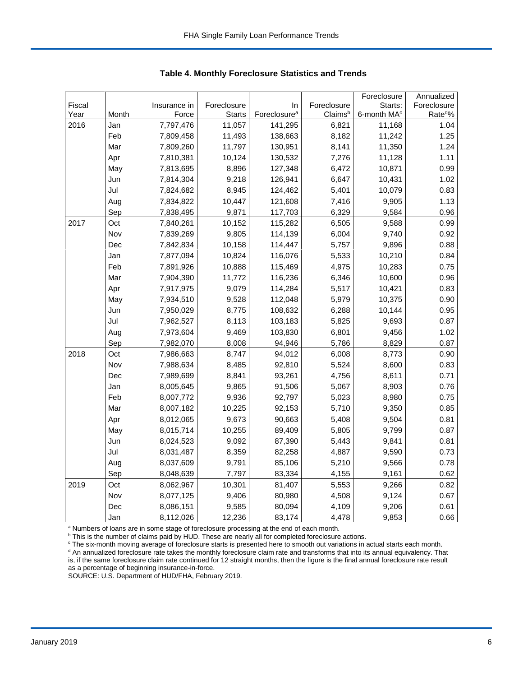|        |       |              |               |                          |             | Foreclosure             | Annualized           |
|--------|-------|--------------|---------------|--------------------------|-------------|-------------------------|----------------------|
| Fiscal |       | Insurance in | Foreclosure   | In                       | Foreclosure | Starts:                 | Foreclosure          |
| Year   | Month | Force        | <b>Starts</b> | Foreclosure <sup>a</sup> | Claimsb     | 6-month MA <sup>c</sup> | Rate <sup>do</sup> % |
| 2016   | Jan   | 7,797,476    | 11,057        | 141,295                  | 6,821       | 11,168                  | 1.04                 |
|        | Feb   | 7,809,458    | 11,493        | 138,663                  | 8,182       | 11,242                  | 1.25                 |
|        | Mar   | 7,809,260    | 11,797        | 130,951                  | 8,141       | 11,350                  | 1.24                 |
|        | Apr   | 7,810,381    | 10,124        | 130,532                  | 7,276       | 11,128                  | 1.11                 |
|        | May   | 7,813,695    | 8,896         | 127,348                  | 6,472       | 10,871                  | 0.99                 |
|        | Jun   | 7,814,304    | 9,218         | 126,941                  | 6,647       | 10,431                  | 1.02                 |
|        | Jul   | 7,824,682    | 8,945         | 124,462                  | 5,401       | 10,079                  | 0.83                 |
|        | Aug   | 7,834,822    | 10,447        | 121,608                  | 7,416       | 9,905                   | 1.13                 |
|        | Sep   | 7,838,495    | 9,871         | 117,703                  | 6,329       | 9,584                   | 0.96                 |
| 2017   | Oct   | 7,840,261    | 10,152        | 115,282                  | 6,505       | 9,588                   | 0.99                 |
|        | Nov   | 7,839,269    | 9,805         | 114,139                  | 6,004       | 9,740                   | 0.92                 |
|        | Dec   | 7,842,834    | 10,158        | 114,447                  | 5,757       | 9,896                   | 0.88                 |
|        | Jan   | 7,877,094    | 10,824        | 116,076                  | 5,533       | 10,210                  | 0.84                 |
|        | Feb   | 7,891,926    | 10,888        | 115,469                  | 4,975       | 10,283                  | 0.75                 |
|        | Mar   | 7,904,390    | 11,772        | 116,236                  | 6,346       | 10,600                  | 0.96                 |
|        | Apr   | 7,917,975    | 9,079         | 114,284                  | 5,517       | 10,421                  | 0.83                 |
|        | May   | 7,934,510    | 9,528         | 112,048                  | 5,979       | 10,375                  | 0.90                 |
|        | Jun   | 7,950,029    | 8,775         | 108,632                  | 6,288       | 10,144                  | 0.95                 |
|        | Jul   | 7,962,527    | 8,113         | 103,183                  | 5,825       | 9,693                   | 0.87                 |
|        | Aug   | 7,973,604    | 9,469         | 103,830                  | 6,801       | 9,456                   | 1.02                 |
|        | Sep   | 7,982,070    | 8,008         | 94,946                   | 5,786       | 8,829                   | 0.87                 |
| 2018   | Oct   | 7,986,663    | 8,747         | 94,012                   | 6,008       | 8,773                   | 0.90                 |
|        | Nov   | 7,988,634    | 8,485         | 92,810                   | 5,524       | 8,600                   | 0.83                 |
|        | Dec   | 7,989,699    | 8,841         | 93,261                   | 4,756       | 8,611                   | 0.71                 |
|        | Jan   | 8,005,645    | 9,865         | 91,506                   | 5,067       | 8,903                   | 0.76                 |
|        | Feb   | 8,007,772    | 9,936         | 92,797                   | 5,023       | 8,980                   | 0.75                 |
|        | Mar   | 8,007,182    | 10,225        | 92,153                   | 5,710       | 9,350                   | 0.85                 |
|        | Apr   | 8,012,065    | 9,673         | 90,663                   | 5,408       | 9,504                   | 0.81                 |
|        | May   | 8,015,714    | 10,255        | 89,409                   | 5,805       | 9,799                   | 0.87                 |
|        | Jun   | 8,024,523    | 9,092         | 87,390                   | 5,443       | 9,841                   | 0.81                 |
|        | Jul   | 8,031,487    | 8,359         | 82,258                   | 4,887       | 9,590                   | 0.73                 |
|        | Aug   | 8,037,609    | 9,791         | 85,106                   | 5,210       | 9,566                   | 0.78                 |
|        | Sep   | 8,048,639    | 7,797         | 83,334                   | 4,155       | 9,161                   | 0.62                 |
| 2019   | Oct   | 8,062,967    | 10,301        | 81,407                   | 5,553       | 9,266                   | 0.82                 |
|        | Nov   | 8,077,125    | 9,406         | 80,980                   | 4,508       | 9,124                   | 0.67                 |
|        | Dec   | 8,086,151    | 9,585         | 80,094                   | 4,109       | 9,206                   | 0.61                 |
|        | Jan   | 8,112,026    | 12,236        | 83,174                   | 4,478       | 9,853                   | 0.66                 |

 **Table 4. Monthly Foreclosure Statistics and Trends**

<sup>a</sup> Numbers of loans are in some stage of foreclosure processing at the end of each month.

<sup>b</sup> This is the number of claims paid by HUD. These are nearly all for completed foreclosure actions.

° The six-month moving average of foreclosure starts is presented here to smooth out variations in actual starts each month.<br><sup>d</sup> An annualized foreclosure rate takes the monthly foreclosure claim rate and transforms that i is, if the same foreclosure claim rate continued for 12 straight months, then the figure is the final annual foreclosure rate result as a percentage of beginning insurance-in-force.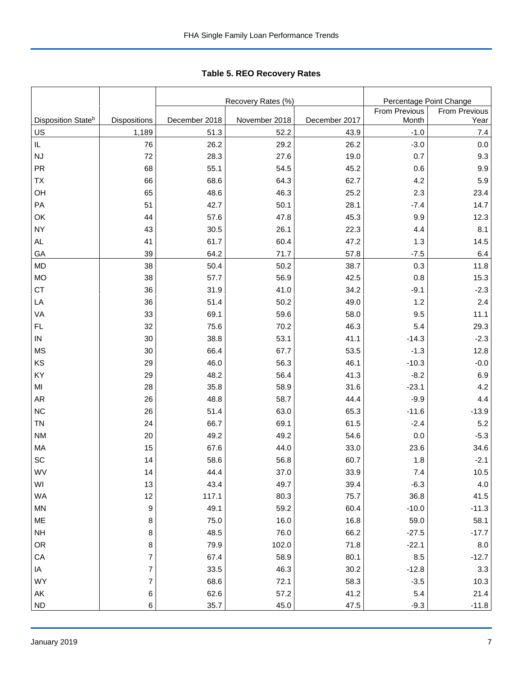Tabl e 5. REO R ecover y R ates **Table 5. REO Recovery Rates**

|                                |                          |               | Recovery Rates (%) | Percentage Point Change |               |               |
|--------------------------------|--------------------------|---------------|--------------------|-------------------------|---------------|---------------|
|                                |                          |               |                    |                         | From Previous | From Previous |
| Disposition State <sup>b</sup> | <b>Dispositions</b>      | December 2018 | November 2018      | December 2017           | Month         | Year          |
| US                             | 1,189                    | 51.3          | 52.2               | 43.9                    | $-1.0$        | $7.4$         |
| IL                             | 76                       | 26.2          | 29.2               | 26.2                    | $-3.0$        | $0.0\,$       |
| NJ                             | 72                       | 28.3          | 27.6               | 19.0                    | 0.7           | 9.3           |
| PR                             | 68                       | 55.1          | 54.5               | 45.2                    | 0.6           | 9.9           |
| <b>TX</b>                      | 66                       | 68.6          | 64.3               | 62.7                    | 4.2           | 5.9           |
| OH                             | 65                       | 48.6          | 46.3               | 25.2                    | 2.3           | 23.4          |
| PA                             | 51                       | 42.7          | 50.1               | 28.1                    | $-7.4$        | 14.7          |
| OK                             | 44                       | 57.6          | 47.8               | 45.3                    | 9.9           | 12.3          |
| <b>NY</b>                      | 43                       | 30.5          | 26.1               | 22.3                    | 4.4           | 8.1           |
| <b>AL</b>                      | 41                       | 61.7          | 60.4               | 47.2                    | 1.3           | 14.5          |
| GA                             | 39                       | 64.2          | 71.7               | 57.8                    | $-7.5$        | 6.4           |
| <b>MD</b>                      | 38                       | 50.4          | 50.2               | 38.7                    | 0.3           | 11.8          |
| <b>MO</b>                      | 38                       | 57.7          | 56.9               | 42.5                    | 0.8           | 15.3          |
| <b>CT</b>                      | 36                       | 31.9          | 41.0               | 34.2                    | $-9.1$        | $-2.3$        |
| LA                             | 36                       | 51.4          | 50.2               | 49.0                    | 1.2           | 2.4           |
| VA                             | 33                       | 69.1          | 59.6               | 58.0                    | 9.5           | 11.1          |
| FL.                            | 32                       | 75.6          | 70.2               | 46.3                    | 5.4           | 29.3          |
| ${\sf IN}$                     | 30                       | 38.8          | 53.1               | 41.1                    | $-14.3$       | $-2.3$        |
| <b>MS</b>                      | 30                       | 66.4          | 67.7               | 53.5                    | $-1.3$        | 12.8          |
| KS                             | 29                       | 46.0          | 56.3               | 46.1                    | $-10.3$       | $-0.0$        |
| KY                             | 29                       | 48.2          | 56.4               | 41.3                    | $-8.2$        | 6.9           |
| M <sub>l</sub>                 | 28                       | 35.8          | 58.9               | 31.6                    | $-23.1$       | 4.2           |
| <b>AR</b>                      | 26                       | 48.8          | 58.7               | 44.4                    | $-9.9$        | 4.4           |
| NC                             | 26                       | 51.4          | 63.0               | 65.3                    | $-11.6$       | $-13.9$       |
| <b>TN</b>                      | 24                       | 66.7          | 69.1               | 61.5                    | $-2.4$        | 5.2           |
| <b>NM</b>                      | 20                       | 49.2          | 49.2               | 54.6                    | 0.0           | $-5.3$        |
| MA                             | 15                       | 67.6          | 44.0               | 33.0                    | 23.6          | 34.6          |
| SC                             | 14                       | 58.6          | 56.8               | 60.7                    | 1.8           | $-2.1$        |
| WV                             | 14                       | 44.4          | 37.0               | 33.9                    | 7.4           | 10.5          |
| WI                             | 13                       | 43.4          | 49.7               | 39.4                    | $-6.3$        | $4.0\,$       |
| WA                             | 12                       | 117.1         | 80.3               | 75.7                    | 36.8          | 41.5          |
| <b>MN</b>                      | $\boldsymbol{9}$         | 49.1          | 59.2               | 60.4                    | $-10.0$       | $-11.3$       |
| ME                             | 8                        | 75.0          | 16.0               | 16.8                    | 59.0          | 58.1          |
| $\mathsf{NH}\,$                | $\,8\,$                  | 48.5          | 76.0               | 66.2                    | $-27.5$       | $-17.7$       |
| OR                             | 8                        | 79.9          | 102.0              | 71.8                    | $-22.1$       | 8.0           |
| ${\sf CA}$                     | $\overline{\mathcal{I}}$ | 67.4          | 58.9               | 80.1                    | 8.5           | $-12.7$       |
| IA                             | $\overline{\mathcal{I}}$ | 33.5          | 46.3               | 30.2                    | $-12.8$       | $3.3\,$       |
| WY                             | $\overline{7}$           | 68.6          | 72.1               | 58.3                    | $-3.5$        | 10.3          |
| AK                             | $\,6$                    | 62.6          | 57.2               | 41.2                    | $5.4\,$       | 21.4          |
| <b>ND</b>                      | $\,6$                    | 35.7          | 45.0               | 47.5                    | $-9.3$        | $-11.8$       |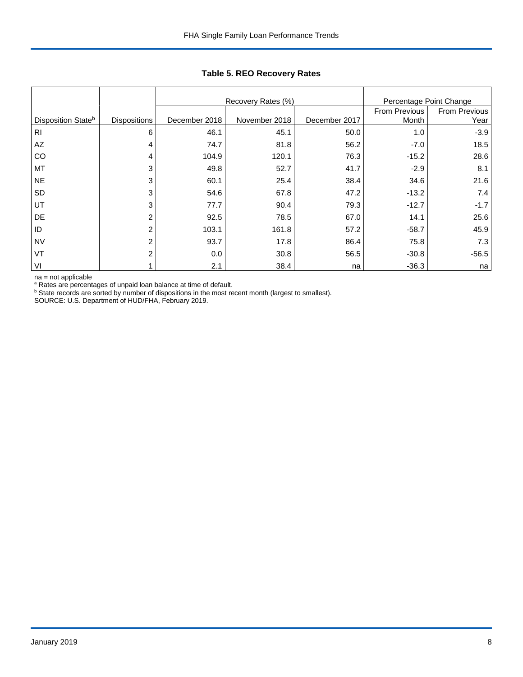|                    |                     |               | Recovery Rates (%) | Percentage Point Change |               |                      |
|--------------------|---------------------|---------------|--------------------|-------------------------|---------------|----------------------|
|                    |                     |               |                    |                         | From Previous | <b>From Previous</b> |
| Disposition Stateb | <b>Dispositions</b> | December 2018 | November 2018      | December 2017           | Month         | Year                 |
| R <sub>l</sub>     | 6                   | 46.1          | 45.1               | 50.0                    | 1.0           | $-3.9$               |
| AZ                 | 4                   | 74.7          | 81.8               | 56.2                    | $-7.0$        | 18.5                 |
| CO                 | 4                   | 104.9         | 120.1              | 76.3                    | $-15.2$       | 28.6                 |
| MT                 | 3                   | 49.8          | 52.7               | 41.7                    | $-2.9$        | 8.1                  |
| <b>NE</b>          | 3                   | 60.1          | 25.4               | 38.4                    | 34.6          | 21.6                 |
| SD                 | 3                   | 54.6          | 67.8               | 47.2                    | $-13.2$       | 7.4                  |
| UT                 | 3                   | 77.7          | 90.4               | 79.3                    | $-12.7$       | $-1.7$               |
| DE                 | 2                   | 92.5          | 78.5               | 67.0                    | 14.1          | 25.6                 |
| ID                 | 2                   | 103.1         | 161.8              | 57.2                    | $-58.7$       | 45.9                 |
| <b>NV</b>          | 2                   | 93.7          | 17.8               | 86.4                    | 75.8          | 7.3                  |
| VT                 | 2                   | 0.0           | 30.8               | 56.5                    | $-30.8$       | $-56.5$              |
| VI                 |                     | 2.1           | 38.4               | na                      | $-36.3$       | na                   |

**Table 5. REO Recovery Rates**

na = not applicable

<sup>a</sup> Rates are percentages of unpaid loan balance at time of default.<br><sup>b</sup> State records are sorted by number of dispositions in the most recent month (largest to smallest).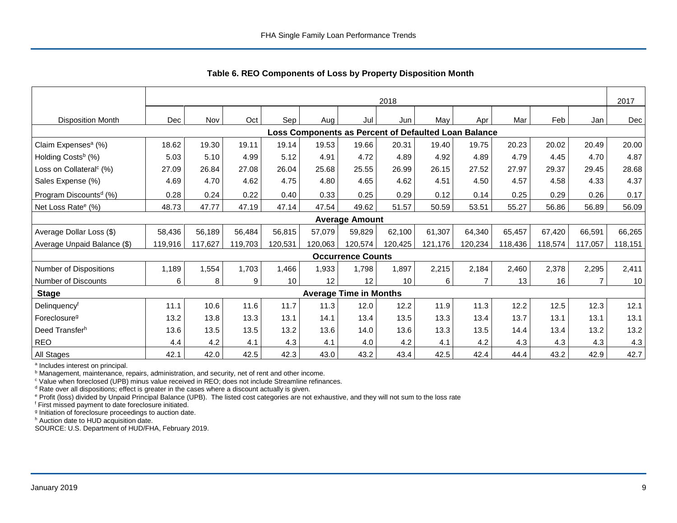|                                     | 2018       |         |         |         |         |                               |         |                                                      |         |         | 2017    |                |         |
|-------------------------------------|------------|---------|---------|---------|---------|-------------------------------|---------|------------------------------------------------------|---------|---------|---------|----------------|---------|
| <b>Disposition Month</b>            | <b>Dec</b> | Nov     | Oct     | Sep!    | Aug     | Jul                           | Jun     | May                                                  | Apr     | Mar     | Feb     | Jan            | Dec     |
|                                     |            |         |         |         |         |                               |         | Loss Components as Percent of Defaulted Loan Balance |         |         |         |                |         |
| Claim Expenses <sup>a</sup> (%)     | 18.62      | 19.30   | 19.11   | 19.14   | 19.53   | 19.66                         | 20.31   | 19.40                                                | 19.75   | 20.23   | 20.02   | 20.49          | 20.00   |
| Holding Costs <sup>b</sup> (%)      | 5.03       | 5.10    | 4.99    | 5.12    | 4.91    | 4.72                          | 4.89    | 4.92                                                 | 4.89    | 4.79    | 4.45    | 4.70           | 4.87    |
| Loss on Collateral <sup>c</sup> (%) | 27.09      | 26.84   | 27.08   | 26.04   | 25.68   | 25.55                         | 26.99   | 26.15                                                | 27.52   | 27.97   | 29.37   | 29.45          | 28.68   |
| Sales Expense (%)                   | 4.69       | 4.70    | 4.62    | 4.75    | 4.80    | 4.65                          | 4.62    | 4.51                                                 | 4.50    | 4.57    | 4.58    | 4.33           | 4.37    |
| Program Discounts <sup>d</sup> (%)  | 0.28       | 0.24    | 0.22    | 0.40    | 0.33    | 0.25                          | 0.29    | 0.12                                                 | 0.14    | 0.25    | 0.29    | 0.26           | 0.17    |
| Net Loss Rate <sup>e</sup> (%)      | 48.73      | 47.77   | 47.19   | 47.14   | 47.54   | 49.62                         | 51.57   | 50.59                                                | 53.51   | 55.27   | 56.86   | 56.89          | 56.09   |
|                                     |            |         |         |         |         | <b>Average Amount</b>         |         |                                                      |         |         |         |                |         |
| Average Dollar Loss (\$)            | 58,436     | 56,189  | 56,484  | 56.815  | 57.079  | 59,829                        | 62,100  | 61,307                                               | 64,340  | 65,457  | 67.420  | 66,591         | 66,265  |
| Average Unpaid Balance (\$)         | 119,916    | 117.627 | 119,703 | 120,531 | 120.063 | 120,574                       | 120,425 | 121,176                                              | 120,234 | 118,436 | 118,574 | 117,057        | 118,151 |
|                                     |            |         |         |         |         | <b>Occurrence Counts</b>      |         |                                                      |         |         |         |                |         |
| Number of Dispositions              | 1,189      | 1,554   | 1,703   | 1,466   | 1,933   | 1,798                         | 1,897   | 2,215                                                | 2,184   | 2,460   | 2,378   | 2,295          | 2,411   |
| Number of Discounts                 | 6          | 8       | 9       | 10      | 12      | 12                            | 10      | 6                                                    | 7       | 13      | 16      | $\overline{7}$ | 10      |
| <b>Stage</b>                        |            |         |         |         |         | <b>Average Time in Months</b> |         |                                                      |         |         |         |                |         |
| Delinquencyf                        | 11.1       | 10.6    | 11.6    | 11.7    | 11.3    | 12.0                          | 12.2    | 11.9                                                 | 11.3    | 12.2    | 12.5    | 12.3           | 12.1    |
| Foreclosure <sup>g</sup>            | 13.2       | 13.8    | 13.3    | 13.1    | 14.1    | 13.4                          | 13.5    | 13.3                                                 | 13.4    | 13.7    | 13.1    | 13.1           | 13.1    |
| Deed Transferh                      | 13.6       | 13.5    | 13.5    | 13.2    | 13.6    | 14.0                          | 13.6    | 13.3                                                 | 13.5    | 14.4    | 13.4    | 13.2           | 13.2    |
| <b>REO</b>                          | 4.4        | 4.2     | 4.1     | 4.3     | 4.1     | 4.0                           | 4.2     | 4.1                                                  | 4.2     | 4.3     | 4.3     | 4.3            | 4.3     |
| All Stages                          | 42.1       | 42.0    | 42.5    | 42.3    | 43.0    | 43.2                          | 43.4    | 42.5                                                 | 42.4    | 44.4    | 43.2    | 42.9           | 42.7    |

 **Table 6. REO Components of Loss by Property Disposition Month**

<sup>a</sup> Includes interest on principal.

<sup>b</sup> Management, maintenance, repairs, administration, and security, net of rent and other income.

c Value when foreclosed (UPB) minus value received in REO; does not include Streamline refinances.

<sup>d</sup> Rate over all dispositions; effect is greater in the cases where a discount actually is given.

e Profit (loss) divided by Unpaid Principal Balance (UPB). The listed cost categories are not exhaustive, and they will not sum to the loss rate

f First missed payment to date foreclosure initiated.

<sup>g</sup> Initiation of foreclosure proceedings to auction date.

h Auction date to HUD acquisition date.